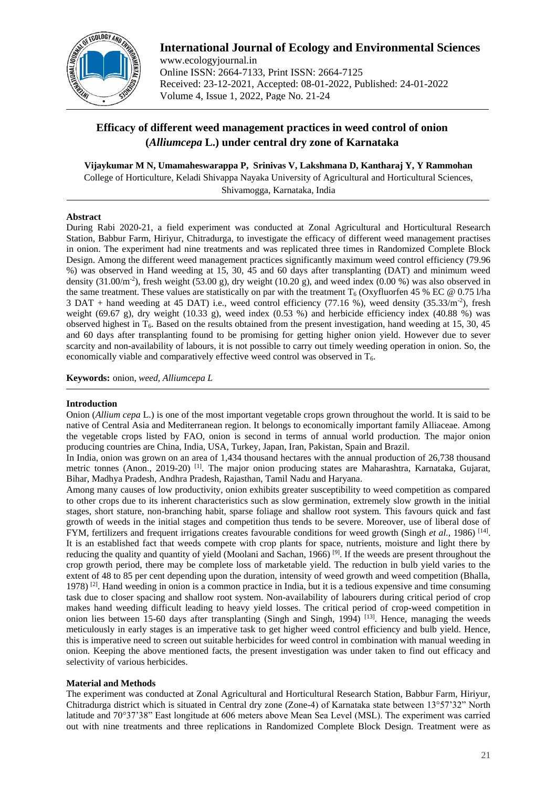

**International Journal of Ecology and Environmental Sciences** www.ecologyjournal.in Online ISSN: 2664-7133, Print ISSN: 2664-7125 Received: 23-12-2021, Accepted: 08-01-2022, Published: 24-01-2022 Volume 4, Issue 1, 2022, Page No. 21-24

# **Efficacy of different weed management practices in weed control of onion (***Alliumcepa* **L.) under central dry zone of Karnataka**

**Vijaykumar M N, Umamaheswarappa P, Srinivas V, Lakshmana D, Kantharaj Y, Y Rammohan** College of Horticulture, Keladi Shivappa Nayaka University of Agricultural and Horticultural Sciences,

Shivamogga, Karnataka, India

# **Abstract**

During Rabi 2020-21, a field experiment was conducted at Zonal Agricultural and Horticultural Research Station, Babbur Farm, Hiriyur, Chitradurga, to investigate the efficacy of different weed management practises in onion. The experiment had nine treatments and was replicated three times in Randomized Complete Block Design. Among the different weed management practices significantly maximum weed control efficiency (79.96 %) was observed in Hand weeding at 15, 30, 45 and 60 days after transplanting (DAT) and minimum weed density  $(31.00/m<sup>2</sup>)$ , fresh weight  $(53.00 g)$ , dry weight  $(10.20 g)$ , and weed index  $(0.00 %)$  was also observed in the same treatment. These values are statistically on par with the treatment  $T_6$  (Oxyfluorfen 45 % EC @ 0.75 l/ha 3 DAT + hand weeding at 45 DAT) i.e., weed control efficiency (77.16 %), weed density (35.33/m-2 ), fresh weight (69.67 g), dry weight (10.33 g), weed index (0.53 %) and herbicide efficiency index (40.88 %) was observed highest in  $T_6$ . Based on the results obtained from the present investigation, hand weeding at 15, 30, 45 and 60 days after transplanting found to be promising for getting higher onion yield. However due to sever scarcity and non-availability of labours, it is not possible to carry out timely weeding operation in onion. So, the economically viable and comparatively effective weed control was observed in T6.

**Keywords:** onion, *weed, Alliumcepa L*

# **Introduction**

Onion (*Allium cepa* L.) is one of the most important vegetable crops grown throughout the world. It is said to be native of Central Asia and Mediterranean region. It belongs to economically important family Alliaceae. Among the vegetable crops listed by FAO, onion is second in terms of annual world production. The major onion producing countries are China, India, USA, Turkey, Japan, Iran, Pakistan, Spain and Brazil.

In India, onion was grown on an area of 1,434 thousand hectares with the annual production of 26,738 thousand metric tonnes (Anon., 2019-20) <sup>[1]</sup>. The major onion producing states are Maharashtra, Karnataka, Gujarat, Bihar, Madhya Pradesh, Andhra Pradesh, Rajasthan, Tamil Nadu and Haryana.

Among many causes of low productivity, onion exhibits greater susceptibility to weed competition as compared to other crops due to its inherent characteristics such as slow germination, extremely slow growth in the initial stages, short stature, non-branching habit, sparse foliage and shallow root system. This favours quick and fast growth of weeds in the initial stages and competition thus tends to be severe. Moreover, use of liberal dose of FYM, fertilizers and frequent irrigations creates favourable conditions for weed growth (Singh *et al.*, 1986) <sup>[14]</sup>. It is an established fact that weeds compete with crop plants for space, nutrients, moisture and light there by reducing the quality and quantity of yield (Moolani and Sachan, 1966)<sup>[9]</sup>. If the weeds are present throughout the crop growth period, there may be complete loss of marketable yield. The reduction in bulb yield varies to the extent of 48 to 85 per cent depending upon the duration, intensity of weed growth and weed competition (Bhalla, 1978)<sup>[2]</sup>. Hand weeding in onion is a common practice in India, but it is a tedious expensive and time consuming task due to closer spacing and shallow root system. Non-availability of labourers during critical period of crop makes hand weeding difficult leading to heavy yield losses. The critical period of crop-weed competition in onion lies between 15-60 days after transplanting (Singh and Singh, 1994)<sup>[13]</sup>. Hence, managing the weeds meticulously in early stages is an imperative task to get higher weed control efficiency and bulb yield. Hence, this is imperative need to screen out suitable herbicides for weed control in combination with manual weeding in onion. Keeping the above mentioned facts, the present investigation was under taken to find out efficacy and selectivity of various herbicides.

# **Material and Methods**

The experiment was conducted at Zonal Agricultural and Horticultural Research Station, Babbur Farm, Hiriyur, Chitradurga district which is situated in Central dry zone (Zone-4) of Karnataka state between 13°57'32" North latitude and 70°37'38" East longitude at 606 meters above Mean Sea Level (MSL). The experiment was carried out with nine treatments and three replications in Randomized Complete Block Design. Treatment were as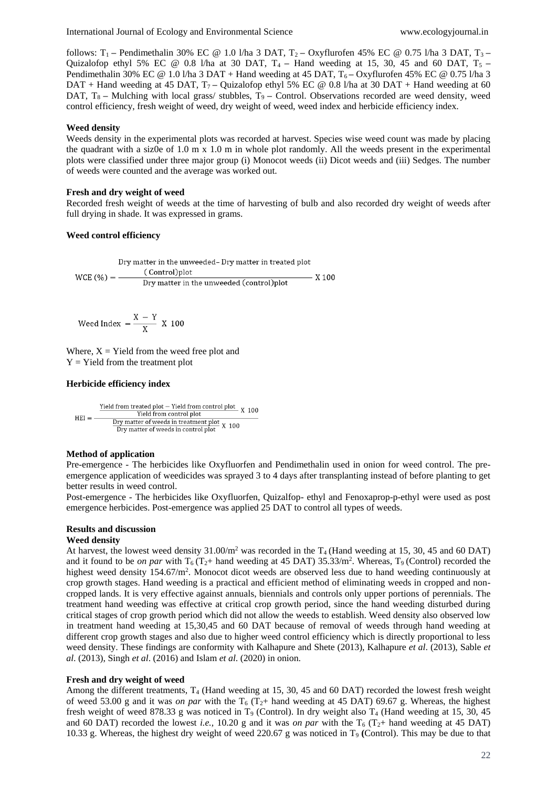follows: T1 **–** Pendimethalin 30% EC @ 1.0 l/ha 3 DAT, T2 **–** Oxyflurofen 45% EC @ 0.75 l/ha 3 DAT, T3 **–** Quizalofop ethyl 5% EC @ 0.8 l/ha at 30 DAT, T4 **–** Hand weeding at 15, 30, 45 and 60 DAT, T5 **–** Pendimethalin 30% EC @ 1.0 l/ha 3 DAT + Hand weeding at 45 DAT, T<sub>6</sub> – Oxyflurofen 45% EC @ 0.75 l/ha 3 DAT + Hand weeding at 45 DAT,  $T_7$  – Quizalofop ethyl 5% EC @ 0.8 l/ha at 30 DAT + Hand weeding at 60 DAT, T<sub>8</sub> – Mulching with local grass/ stubbles, T<sub>9</sub> – Control. Observations recorded are weed density, weed control efficiency, fresh weight of weed, dry weight of weed, weed index and herbicide efficiency index.

## **Weed density**

Weeds density in the experimental plots was recorded at harvest. Species wise weed count was made by placing the quadrant with a siz0e of  $1.0 \text{ m} \times 1.0 \text{ m}$  in whole plot randomly. All the weeds present in the experimental plots were classified under three major group (i) Monocot weeds (ii) Dicot weeds and (iii) Sedges. The number of weeds were counted and the average was worked out.

## **Fresh and dry weight of weed**

Recorded fresh weight of weeds at the time of harvesting of bulb and also recorded dry weight of weeds after full drying in shade. It was expressed in grams.

# **Weed control efficiency**

Weed Index 
$$
=
$$
  $\frac{X - Y}{X}$  X 100

Where,  $X =$  Yield from the weed free plot and  $Y = Yield$  from the treatment plot

## **Herbicide efficiency index**

$$
HEI = \frac{\frac{Yield from treated plot - Yield from control plot}{Yield from control plot}}{\frac{Dry matter of weeds in treatment plot}{Dry matter of weeds in control plot}} \times 100
$$

#### **Method of application**

Pre-emergence - The herbicides like Oxyfluorfen and Pendimethalin used in onion for weed control. The preemergence application of weedicides was sprayed 3 to 4 days after transplanting instead of before planting to get better results in weed control.

Post-emergence - The herbicides like Oxyfluorfen, Quizalfop- ethyl and Fenoxaprop-p-ethyl were used as post emergence herbicides. Post-emergence was applied 25 DAT to control all types of weeds.

# **Results and discussion**

#### **Weed density**

At harvest, the lowest weed density  $31.00/m^2$  was recorded in the T<sub>4</sub> (Hand weeding at 15, 30, 45 and 60 DAT) and it found to be *on par* with  $T_6$  ( $T_2$ + hand weeding at 45 DAT) 35.33/m<sup>2</sup>. Whereas,  $T_9$  (Control) recorded the highest weed density 154.67/m<sup>2</sup>. Monocot dicot weeds are observed less due to hand weeding continuously at crop growth stages. Hand weeding is a practical and efficient method of eliminating weeds in cropped and noncropped lands. It is very effective against annuals, biennials and controls only upper portions of perennials. The treatment hand weeding was effective at critical crop growth period, since the hand weeding disturbed during critical stages of crop growth period which did not allow the weeds to establish. Weed density also observed low in treatment hand weeding at 15,30,45 and 60 DAT because of removal of weeds through hand weeding at different crop growth stages and also due to higher weed control efficiency which is directly proportional to less weed density. These findings are conformity with Kalhapure and Shete (2013), Kalhapure *et al*. (2013), Sable *et al*. (2013), Singh *et al*. (2016) and Islam *et al*. (2020) in onion.

# **Fresh and dry weight of weed**

Among the different treatments, T<sup>4</sup> (Hand weeding at 15, 30, 45 and 60 DAT) recorded the lowest fresh weight of weed 53.00 g and it was *on par* with the  $T_6$  ( $T_2$ + hand weeding at 45 DAT) 69.67 g. Whereas, the highest fresh weight of weed 878.33 g was noticed in  $T_9$  (Control). In dry weight also  $T_4$  (Hand weeding at 15, 30, 45 and 60 DAT) recorded the lowest *i.e.*, 10.20 g and it was *on par* with the  $T_6$  ( $T_2$ + hand weeding at 45 DAT) 10.33 g. Whereas, the highest dry weight of weed 220.67 g was noticed in T<sup>9</sup> **(**Control). This may be due to that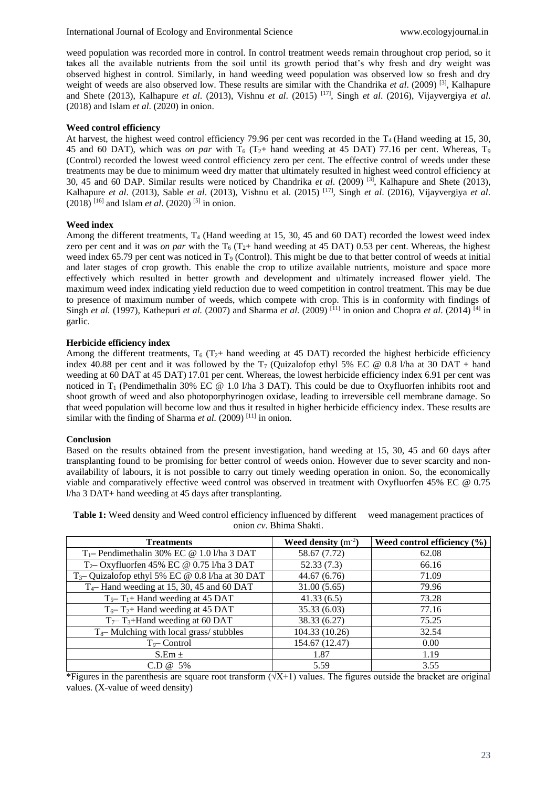weed population was recorded more in control. In control treatment weeds remain throughout crop period, so it takes all the available nutrients from the soil until its growth period that's why fresh and dry weight was observed highest in control. Similarly, in hand weeding weed population was observed low so fresh and dry weight of weeds are also observed low. These results are similar with the Chandrika et al. (2009)<sup>[3]</sup>, Kalhapure and Shete (2013), Kalhapure *et al*. (2013), Vishnu *et al*. (2015) [17] , Singh *et al*. (2016), Vijayvergiya *et al*. (2018) and Islam *et al*. (2020) in onion.

## **Weed control efficiency**

At harvest, the highest weed control efficiency 79.96 per cent was recorded in the  $T_4$  (Hand weeding at 15, 30, 45 and 60 DAT), which was *on par* with  $T_6$  ( $T_2$ + hand weeding at 45 DAT) 77.16 per cent. Whereas,  $T_9$ (Control) recorded the lowest weed control efficiency zero per cent. The effective control of weeds under these treatments may be due to minimum weed dry matter that ultimately resulted in highest weed control efficiency at 30, 45 and 60 DAP. Similar results were noticed by Chandrika *et al*. (2009) [3] , Kalhapure and Shete (2013), Kalhapure *et al*. (2013), Sable *et al*. (2013), Vishnu et al. (2015) [17] , Singh *et al*. (2016), Vijayvergiya *et al*.  $(2018)$ <sup>[16]</sup> and Islam *et al.*  $(2020)$ <sup>[5]</sup> in onion.

## **Weed index**

Among the different treatments,  $T_4$  (Hand weeding at 15, 30, 45 and 60 DAT) recorded the lowest weed index zero per cent and it was *on par* with the  $T_6$  ( $T_2+$  hand weeding at 45 DAT) 0.53 per cent. Whereas, the highest weed index 65.79 per cent was noticed in  $T<sub>9</sub>$  (Control). This might be due to that better control of weeds at initial and later stages of crop growth. This enable the crop to utilize available nutrients, moisture and space more effectively which resulted in better growth and development and ultimately increased flower yield. The maximum weed index indicating yield reduction due to weed competition in control treatment. This may be due to presence of maximum number of weeds, which compete with crop. This is in conformity with findings of Singh *et al.* (1997), Kathepuri *et al.* (2007) and Sharma *et al.* (2009) <sup>[11]</sup> in onion and Chopra *et al.* (2014) <sup>[4]</sup> in garlic.

## **Herbicide efficiency index**

Among the different treatments,  $T_6$  ( $T_2$ + hand weeding at 45 DAT) recorded the highest herbicide efficiency index 40.88 per cent and it was followed by the  $T_7$  (Quizalofop ethyl 5% EC @ 0.8 l/ha at 30 DAT + hand weeding at 60 DAT at 45 DAT) 17.01 per cent. Whereas, the lowest herbicide efficiency index 6.91 per cent was noticed in  $T_1$  (Pendimethalin 30% EC @ 1.0 l/ha 3 DAT). This could be due to Oxyfluorfen inhibits root and shoot growth of weed and also photoporphyrinogen oxidase, leading to irreversible cell membrane damage. So that weed population will become low and thus it resulted in higher herbicide efficiency index. These results are similar with the finding of Sharma et al. (2009)<sup>[11]</sup> in onion.

#### **Conclusion**

Based on the results obtained from the present investigation, hand weeding at 15, 30, 45 and 60 days after transplanting found to be promising for better control of weeds onion. However due to sever scarcity and nonavailability of labours, it is not possible to carry out timely weeding operation in onion. So, the economically viable and comparatively effective weed control was observed in treatment with Oxyfluorfen 45% EC @ 0.75 l/ha 3 DAT+ hand weeding at 45 days after transplanting.

| <b>Treatments</b>                                           | Weed density $(m^{-2})$ | Weed control efficiency $(\% )$ |  |
|-------------------------------------------------------------|-------------------------|---------------------------------|--|
| $T_1$ – Pendimethalin 30% EC @ 1.0 l/ha 3 DAT               | 58.67 (7.72)            | 62.08                           |  |
| $T_2$ - Oxyfluorfen 45% EC @ 0.75 l/ha 3 DAT                | 52.33(7.3)              | 66.16                           |  |
| T <sub>3</sub> -Quizalofop ethyl 5% EC @ 0.8 l/ha at 30 DAT | 44.67 (6.76)            | 71.09                           |  |
| $T_4$ – Hand weeding at 15, 30, 45 and 60 DAT               | 31.00(5.65)             | 79.96                           |  |
| $T_5$ – $T_1$ + Hand weeding at 45 DAT                      | 41.33(6.5)              | 73.28                           |  |
| $T_6$ – $T_2$ + Hand weeding at 45 DAT                      | 35.33 (6.03)            | 77.16                           |  |
| $T_7$ – T <sub>3</sub> +Hand weeding at 60 DAT              | 38.33 (6.27)            | 75.25                           |  |
| $T_8$ – Mulching with local grass/stubbles                  | 104.33 (10.26)          | 32.54                           |  |
| $T_9$ – Control                                             | 154.67 (12.47)          | 0.00                            |  |
| $S.Em \pm$                                                  | 1.87                    | 1.19                            |  |
| $CD @ 5\%$                                                  | 5.59                    | 3.55                            |  |

**Table 1:** Weed density and Weed control efficiency influenced by different weed management practices of onion *cv*. Bhima Shakti.

\*Figures in the parenthesis are square root transform  $(\sqrt{X+1})$  values. The figures outside the bracket are original values. (X-value of weed density)